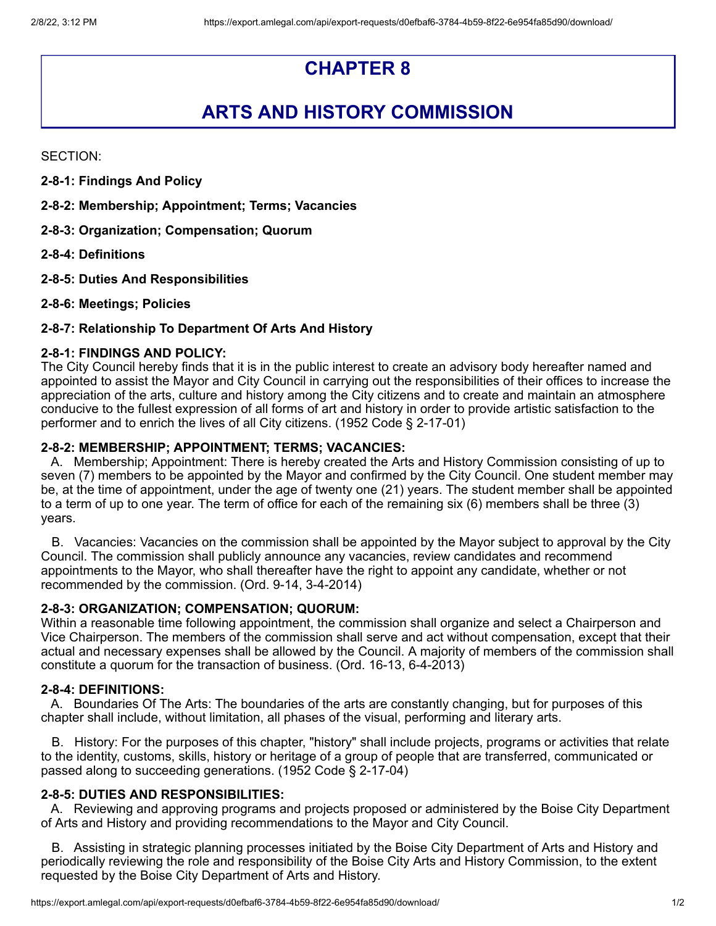# **CHAPTER 8**

# **ARTS AND HISTORY COMMISSION**

SECTION:

- **2-8-1: Findings And Policy**
- **2-8-2: Membership; Appointment; Terms; Vacancies**
- **2-8-3: Organization; Compensation; Quorum**
- **2-8-4: Definitions**
- **2-8-5: Duties And Responsibilities**
- **2-8-6: Meetings; Policies**

# **2-8-7: Relationship To Department Of Arts And History**

# **2-8-1: FINDINGS AND POLICY:**

The City Council hereby finds that it is in the public interest to create an advisory body hereafter named and appointed to assist the Mayor and City Council in carrying out the responsibilities of their offices to increase the appreciation of the arts, culture and history among the City citizens and to create and maintain an atmosphere conducive to the fullest expression of all forms of art and history in order to provide artistic satisfaction to the performer and to enrich the lives of all City citizens. (1952 Code § 2-17-01)

#### **2-8-2: MEMBERSHIP; APPOINTMENT; TERMS; VACANCIES:**

A. Membership; Appointment: There is hereby created the Arts and History Commission consisting of up to seven (7) members to be appointed by the Mayor and confirmed by the City Council. One student member may be, at the time of appointment, under the age of twenty one (21) years. The student member shall be appointed to a term of up to one year. The term of office for each of the remaining six (6) members shall be three (3) years.

B. Vacancies: Vacancies on the commission shall be appointed by the Mayor subject to approval by the City Council. The commission shall publicly announce any vacancies, review candidates and recommend appointments to the Mayor, who shall thereafter have the right to appoint any candidate, whether or not recommended by the commission. (Ord. 9-14, 3-4-2014)

#### **2-8-3: ORGANIZATION; COMPENSATION; QUORUM:**

Within a reasonable time following appointment, the commission shall organize and select a Chairperson and Vice Chairperson. The members of the commission shall serve and act without compensation, except that their actual and necessary expenses shall be allowed by the Council. A majority of members of the commission shall constitute a quorum for the transaction of business. (Ord. 16-13, 6-4-2013)

#### **2-8-4: DEFINITIONS:**

A. Boundaries Of The Arts: The boundaries of the arts are constantly changing, but for purposes of this chapter shall include, without limitation, all phases of the visual, performing and literary arts.

B. History: For the purposes of this chapter, "history" shall include projects, programs or activities that relate to the identity, customs, skills, history or heritage of a group of people that are transferred, communicated or passed along to succeeding generations. (1952 Code § 2-17-04)

#### **2-8-5: DUTIES AND RESPONSIBILITIES:**

A. Reviewing and approving programs and projects proposed or administered by the Boise City Department of Arts and History and providing recommendations to the Mayor and City Council.

B. Assisting in strategic planning processes initiated by the Boise City Department of Arts and History and periodically reviewing the role and responsibility of the Boise City Arts and History Commission, to the extent requested by the Boise City Department of Arts and History.